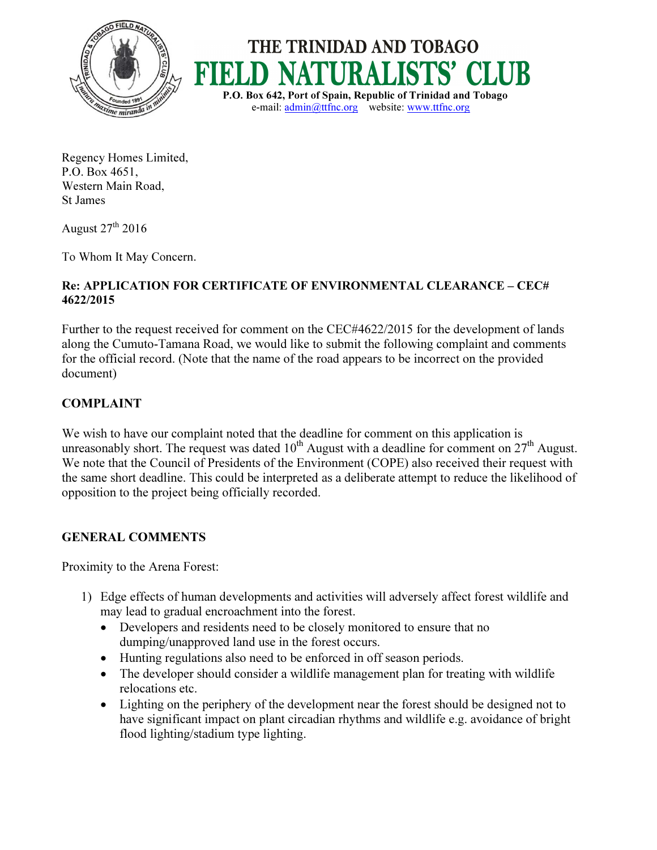



Regency Homes Limited, P.O. Box 4651, Western Main Road, St James

August  $27<sup>th</sup> 2016$ 

To Whom It May Concern.

## Re: APPLICATION FOR CERTIFICATE OF ENVIRONMENTAL CLEARANCE – CEC# 4622/2015

Further to the request received for comment on the CEC#4622/2015 for the development of lands along the Cumuto-Tamana Road, we would like to submit the following complaint and comments for the official record. (Note that the name of the road appears to be incorrect on the provided document)

## COMPLAINT

We wish to have our complaint noted that the deadline for comment on this application is unreasonably short. The request was dated  $10^{th}$  August with a deadline for comment on  $27^{th}$  August. We note that the Council of Presidents of the Environment (COPE) also received their request with the same short deadline. This could be interpreted as a deliberate attempt to reduce the likelihood of opposition to the project being officially recorded.

## GENERAL COMMENTS

Proximity to the Arena Forest:

- 1) Edge effects of human developments and activities will adversely affect forest wildlife and may lead to gradual encroachment into the forest.
	- Developers and residents need to be closely monitored to ensure that no dumping/unapproved land use in the forest occurs.
	- Hunting regulations also need to be enforced in off season periods.
	- The developer should consider a wildlife management plan for treating with wildlife relocations etc.
	- Lighting on the periphery of the development near the forest should be designed not to have significant impact on plant circadian rhythms and wildlife e.g. avoidance of bright flood lighting/stadium type lighting.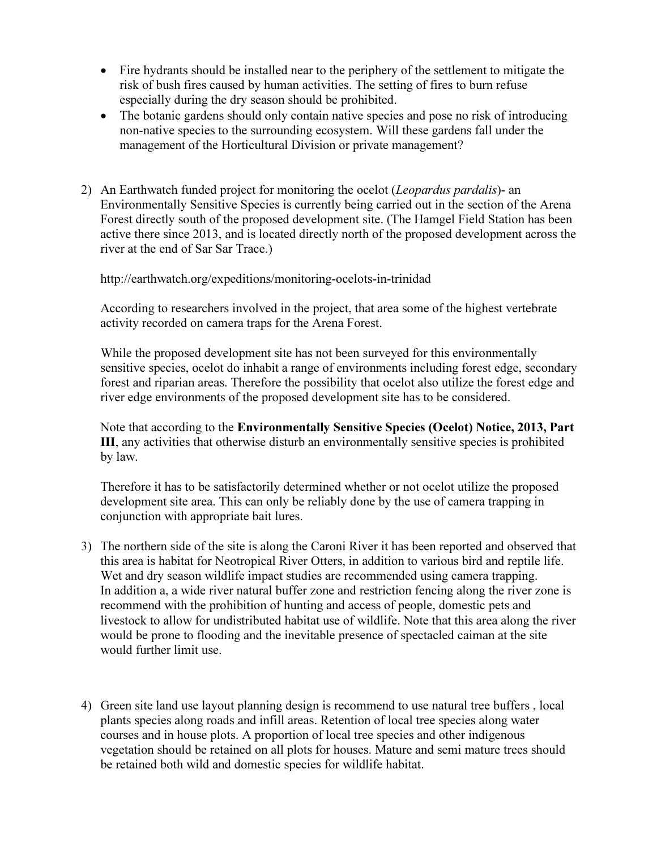- Fire hydrants should be installed near to the periphery of the settlement to mitigate the risk of bush fires caused by human activities. The setting of fires to burn refuse especially during the dry season should be prohibited.
- The botanic gardens should only contain native species and pose no risk of introducing non-native species to the surrounding ecosystem. Will these gardens fall under the management of the Horticultural Division or private management?
- 2) An Earthwatch funded project for monitoring the ocelot *(Leopardus pardalis)* an Environmentally Sensitive Species is currently being carried out in the section of the Arena Forest directly south of the proposed development site. (The Hamgel Field Station has been active there since 2013, and is located directly north of the proposed development across the river at the end of Sar Sar Trace.)

http://earthwatch.org/expeditions/monitoring-ocelots-in-trinidad

According to researchers involved in the project, that area some of the highest vertebrate activity recorded on camera traps for the Arena Forest.

While the proposed development site has not been surveyed for this environmentally sensitive species, ocelot do inhabit a range of environments including forest edge, secondary forest and riparian areas. Therefore the possibility that ocelot also utilize the forest edge and river edge environments of the proposed development site has to be considered.

Note that according to the Environmentally Sensitive Species (Ocelot) Notice, 2013, Part III, any activities that otherwise disturb an environmentally sensitive species is prohibited by law.

Therefore it has to be satisfactorily determined whether or not ocelot utilize the proposed development site area. This can only be reliably done by the use of camera trapping in conjunction with appropriate bait lures.

- 3) The northern side of the site is along the Caroni River it has been reported and observed that this area is habitat for Neotropical River Otters, in addition to various bird and reptile life. Wet and dry season wildlife impact studies are recommended using camera trapping. In addition a, a wide river natural buffer zone and restriction fencing along the river zone is recommend with the prohibition of hunting and access of people, domestic pets and livestock to allow for undistributed habitat use of wildlife. Note that this area along the river would be prone to flooding and the inevitable presence of spectacled caiman at the site would further limit use.
- 4) Green site land use layout planning design is recommend to use natural tree buffers , local plants species along roads and infill areas. Retention of local tree species along water courses and in house plots. A proportion of local tree species and other indigenous vegetation should be retained on all plots for houses. Mature and semi mature trees should be retained both wild and domestic species for wildlife habitat.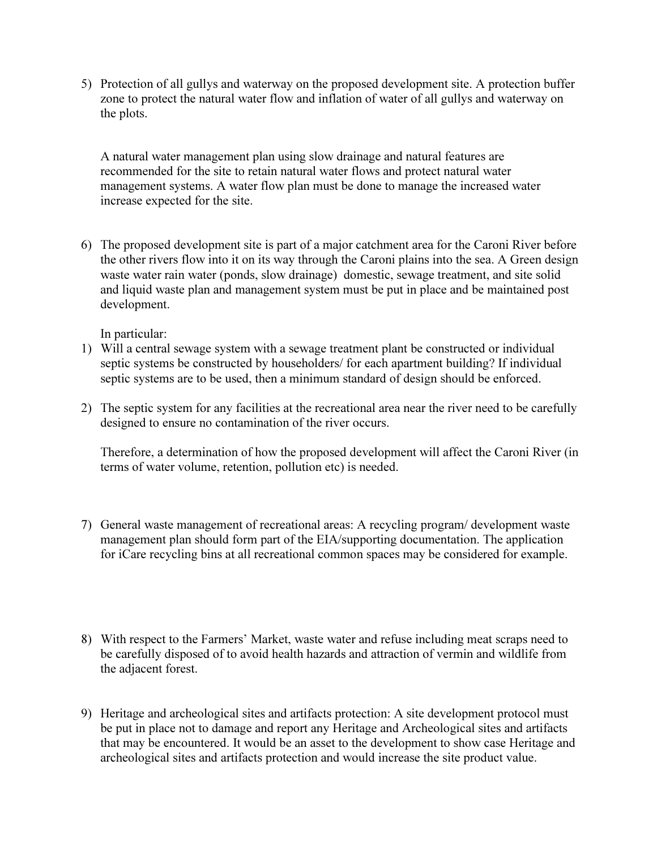5) Protection of all gullys and waterway on the proposed development site. A protection buffer zone to protect the natural water flow and inflation of water of all gullys and waterway on the plots.

A natural water management plan using slow drainage and natural features are recommended for the site to retain natural water flows and protect natural water management systems. A water flow plan must be done to manage the increased water increase expected for the site.

6) The proposed development site is part of a major catchment area for the Caroni River before the other rivers flow into it on its way through the Caroni plains into the sea. A Green design waste water rain water (ponds, slow drainage) domestic, sewage treatment, and site solid and liquid waste plan and management system must be put in place and be maintained post development.

In particular:

- 1) Will a central sewage system with a sewage treatment plant be constructed or individual septic systems be constructed by householders/ for each apartment building? If individual septic systems are to be used, then a minimum standard of design should be enforced.
- 2) The septic system for any facilities at the recreational area near the river need to be carefully designed to ensure no contamination of the river occurs.

Therefore, a determination of how the proposed development will affect the Caroni River (in terms of water volume, retention, pollution etc) is needed.

- 7) General waste management of recreational areas: A recycling program/ development waste management plan should form part of the EIA/supporting documentation. The application for iCare recycling bins at all recreational common spaces may be considered for example.
- 8) With respect to the Farmers' Market, waste water and refuse including meat scraps need to be carefully disposed of to avoid health hazards and attraction of vermin and wildlife from the adjacent forest.
- 9) Heritage and archeological sites and artifacts protection: A site development protocol must be put in place not to damage and report any Heritage and Archeological sites and artifacts that may be encountered. It would be an asset to the development to show case Heritage and archeological sites and artifacts protection and would increase the site product value.